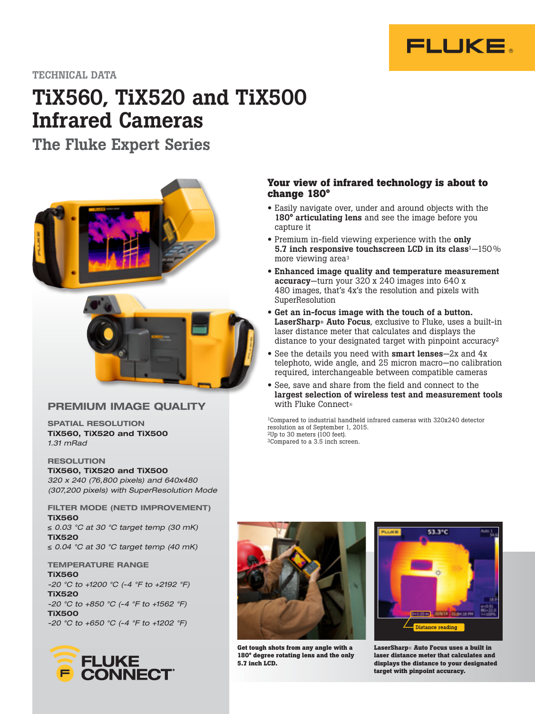

TECHNICAL DATA

# TiX560, TiX520 and TiX500 Infrared Cameras

The Fluke Expert Series



## PREMIUM IMAGE QUALITY

SPATIAL RESOLUTION TiX560, TiX520 and TiX500 1.31 mRad

### **RESOLUTION**

TiX560, TiX520 and TiX500 320 x 240 (76,800 pixels) and 640x480 (307,200 pixels) with SuperResolution Mode

FILTER MODE (NETD IMPROVEMENT) TiX560 ≤ 0.03 °C at 30 °C target temp (30 mK) TiX520 ≤ 0.04 °C at 30 °C target temp (40 mK)

TEMPERATURE RANGE TiX560 -20 °C to +1200 °C (-4 °F to +2192 °F) TiX520 -20 °C to +850 °C (-4 °F to +1562 °F) TiX500 -20 °C to +650 °C (-4 °F to +1202 °F)



#### **Your view of infrared technology is about to change 180°**

- Easily navigate over, under and around objects with the 180° articulating lens and see the image before you capture it
- Premium in-field viewing experience with the only 5.7 inch responsive touchscreen LCD in its class<sup>1</sup> $-150\%$ more viewing area3
- Enhanced image quality and temperature measurement accuracy—turn your 320 x 240 images into 640 x 480 images, that's 4x's the resolution and pixels with SuperResolution
- Get an in-focus image with the touch of a button. LaserSharp® Auto Focus, exclusive to Fluke, uses a built-in laser distance meter that calculates and displays the distance to your designated target with pinpoint accuracy<sup>2</sup>
- See the details you need with **smart lenses**—2x and 4x telephoto, wide angle, and 25 micron macro—no calibration required, interchangeable between compatible cameras
- See, save and share from the field and connect to the largest selection of wireless test and measurement tools with Fluke Connect®

1Compared to industrial handheld infrared cameras with 320x240 detector resolution as of September 1, 2015.  $2Up$  to 30 meters (100 feet). <sup>3</sup>Compared to a 3.5 inch screen.



**Get tough shots from any angle with a 180° degree rotating lens and the only 5.7 inch LCD.**



**LaserSharp**® **Auto Focus uses a built in laser distance meter that calculates and displays the distance to your designated target with pinpoint accuracy.**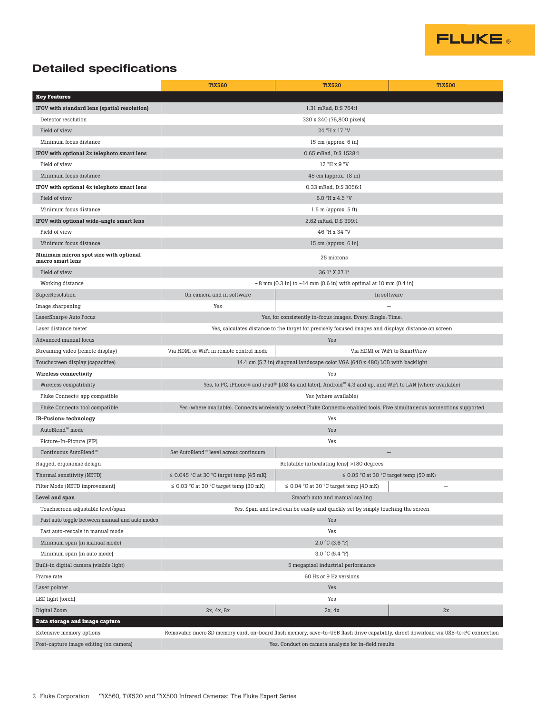

# Detailed specifications

|                                                            | <b>TiX560</b>                                                                                                              | <b>TiX520</b>                                                                                                                       | <b>TiX500</b>                               |
|------------------------------------------------------------|----------------------------------------------------------------------------------------------------------------------------|-------------------------------------------------------------------------------------------------------------------------------------|---------------------------------------------|
| <b>Key Features</b>                                        |                                                                                                                            |                                                                                                                                     |                                             |
| IFOV with standard lens (spatial resolution)               | 1.31 mRad, D:S 764:1                                                                                                       |                                                                                                                                     |                                             |
| Detector resolution                                        | 320 x 240 (76,800 pixels)                                                                                                  |                                                                                                                                     |                                             |
| Field of view                                              |                                                                                                                            | 24 °H x 17 °V                                                                                                                       |                                             |
| Minimum focus distance                                     |                                                                                                                            | 15 cm (approx. 6 in)                                                                                                                |                                             |
| IFOV with optional 2x telephoto smart lens                 |                                                                                                                            | 0.65 mRad, D:S 1528:1                                                                                                               |                                             |
| Field of view                                              |                                                                                                                            | 12 °H x 9 °V                                                                                                                        |                                             |
| Minimum focus distance                                     | 45 cm (approx. 18 in)                                                                                                      |                                                                                                                                     |                                             |
| IFOV with optional 4x telephoto smart lens                 | 0.33 mRad, D:S 3056:1                                                                                                      |                                                                                                                                     |                                             |
| Field of view                                              | 6.0 °H x 4.5 °V                                                                                                            |                                                                                                                                     |                                             |
| Minimum focus distance                                     | $1.5$ m (approx. $5$ ft)                                                                                                   |                                                                                                                                     |                                             |
| IFOV with optional wide-angle smart lens                   | 2.62 mRad, D:S 399:1                                                                                                       |                                                                                                                                     |                                             |
| Field of view                                              | 46 °H x 34 °V                                                                                                              |                                                                                                                                     |                                             |
| Minimum focus distance                                     | 15 cm (approx. 6 in)                                                                                                       |                                                                                                                                     |                                             |
| Minimum micron spot size with optional<br>macro smart lens | 25 microns                                                                                                                 |                                                                                                                                     |                                             |
| Field of view                                              | 36.1° X 27.1°                                                                                                              |                                                                                                                                     |                                             |
| Working distance                                           | $\sim$ 8 mm (0.3 in) to $\sim$ 14 mm (0.6 in) with optimal at 10 mm (0.4 in)                                               |                                                                                                                                     |                                             |
| SuperResolution                                            | On camera and in software<br>In software                                                                                   |                                                                                                                                     |                                             |
| Image sharpening                                           | Yes                                                                                                                        |                                                                                                                                     |                                             |
| LaserSharp® Auto Focus                                     |                                                                                                                            | Yes, for consistently in-focus images. Every. Single. Time.                                                                         |                                             |
| Laser distance meter                                       | Yes, calculates distance to the target for precisely focused images and displays distance on screen                        |                                                                                                                                     |                                             |
| Advanced manual focus                                      |                                                                                                                            | Yes                                                                                                                                 |                                             |
| Streaming video (remote display)                           | Via HDMI or WiFi in remote control mode                                                                                    |                                                                                                                                     | Via HDMI or WiFi to SmartView               |
| Touchscreen display (capacitive)                           | 14.4 cm (5.7 in) diagonal landscape color VGA (640 x 480) LCD with backlight                                               |                                                                                                                                     |                                             |
| <b>Wireless connectivity</b>                               | Yes                                                                                                                        |                                                                                                                                     |                                             |
| Wireless compatibility                                     | Yes, to PC, iPhone® and iPad® (iOS 4s and later), Android™ 4.3 and up, and WiFi to LAN (where available)                   |                                                                                                                                     |                                             |
| Fluke Connect® app compatible                              | Yes (where available)                                                                                                      |                                                                                                                                     |                                             |
| Fluke Connect® tool compatible                             | Yes (where available). Connects wirelessly to select Fluke Connect® enabled tools. Five simultaneous connections supported |                                                                                                                                     |                                             |
| IR-Fusion <sup>®</sup> technology                          | Yes                                                                                                                        |                                                                                                                                     |                                             |
| AutoBlend™ mode                                            |                                                                                                                            | Yes                                                                                                                                 |                                             |
| Picture-In-Picture (PIP)                                   | Yes                                                                                                                        |                                                                                                                                     |                                             |
| Continuous AutoBlend™                                      | Set AutoBlend™ level across continuum                                                                                      |                                                                                                                                     | $\overline{\phantom{0}}$                    |
| Rugged, ergonomic design                                   |                                                                                                                            | Rotatable (articulating lens) >180 degrees                                                                                          |                                             |
| Thermal sensitivity (NETD)                                 | $\leq$ 0.045 °C at 30 °C target temp (45 mK)                                                                               |                                                                                                                                     | $\leq$ 0.05 °C at 30 °C target temp (50 mK) |
| Filter Mode (NETD improvement)                             | $\leq$ 0.03 °C at 30 °C target temp (30 mK)                                                                                | $\leq$ 0.04 °C at 30 °C target temp (40 mK)                                                                                         |                                             |
| Level and span                                             |                                                                                                                            | Smooth auto and manual scaling                                                                                                      |                                             |
| Touchscreen adjustable level/span                          | Yes. Span and level can be easily and quickly set by simply touching the screen                                            |                                                                                                                                     |                                             |
| Fast auto toggle between manual and auto modes             | Yes                                                                                                                        |                                                                                                                                     |                                             |
| Fast auto-rescale in manual mode                           | Yes                                                                                                                        |                                                                                                                                     |                                             |
| Minimum span (in manual mode)                              | $2.0 °C$ (3.6 °F)                                                                                                          |                                                                                                                                     |                                             |
| Minimum span (in auto mode)                                | 3.0 °C (5.4 °F)                                                                                                            |                                                                                                                                     |                                             |
| Built-in digital camera (visible light)                    | 5 megapixel industrial performance                                                                                         |                                                                                                                                     |                                             |
| Frame rate                                                 | 60 Hz or 9 Hz versions                                                                                                     |                                                                                                                                     |                                             |
| Laser pointer                                              | Yes                                                                                                                        |                                                                                                                                     |                                             |
| LED light (torch)                                          |                                                                                                                            | Yes                                                                                                                                 |                                             |
| Digital Zoom                                               | 2x, 4x, 8x                                                                                                                 | 2x, 4x                                                                                                                              | $2x$                                        |
| Data storage and image capture                             |                                                                                                                            |                                                                                                                                     |                                             |
| Extensive memory options                                   |                                                                                                                            | Removable micro SD memory card, on-board flash memory, save-to-USB flash drive capability, direct download via USB-to-PC connection |                                             |
| Post-capture image editing (on camera)                     | Yes. Conduct on camera analysis for in-field results                                                                       |                                                                                                                                     |                                             |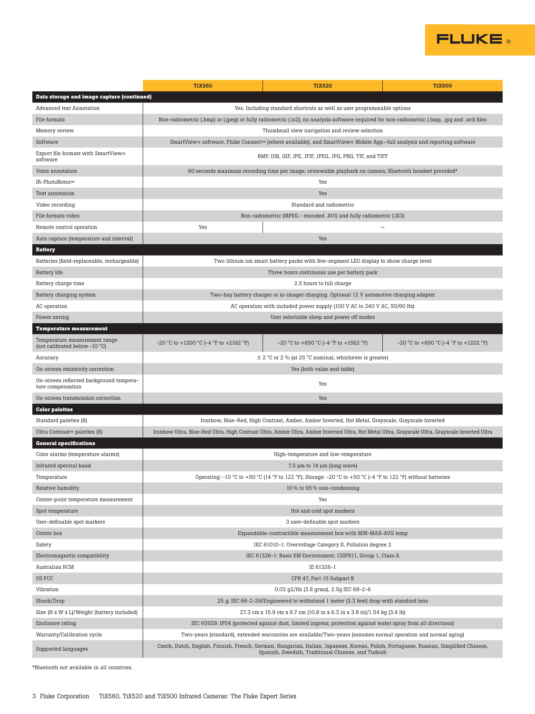

|                                                                | <b>TiX560</b>                                                                                                                                                                                | <b>TiX520</b>                                                                                           | <b>TiX500</b>                                  |  |
|----------------------------------------------------------------|----------------------------------------------------------------------------------------------------------------------------------------------------------------------------------------------|---------------------------------------------------------------------------------------------------------|------------------------------------------------|--|
| Data storage and image capture (continued)                     |                                                                                                                                                                                              |                                                                                                         |                                                |  |
| Advanced text Annotation                                       | Yes. Including standard shortcuts as well as user programmable options                                                                                                                       |                                                                                                         |                                                |  |
| File formats                                                   | Non-radiometric (.bmp) or (.jpeg) or fully radiometric (.is2); no analysis software required for non-radiometric (.bmp, .jpg and .avi) files                                                 |                                                                                                         |                                                |  |
| Memory review                                                  | Thumbnail view navigation and review selection                                                                                                                                               |                                                                                                         |                                                |  |
| Software                                                       | SmartView® software, Fluke Connect™ (where available), and SmartView® Mobile App—full analysis and reporting software                                                                        |                                                                                                         |                                                |  |
| Export file formats with SmartView®<br>software                | BMP, DIB, GIF, JPE, JFIF, JPEG, JPG, PNG, TIF, and TIFF                                                                                                                                      |                                                                                                         |                                                |  |
| Voice annotation                                               |                                                                                                                                                                                              | 60 seconds maximum recording time per image; reviewable playback on camera; Bluetooth headset provided* |                                                |  |
| IR-PhotoNotes™                                                 | Yes                                                                                                                                                                                          |                                                                                                         |                                                |  |
| Text annotation                                                | Yes                                                                                                                                                                                          |                                                                                                         |                                                |  |
| Video recording                                                | Standard and radiometric                                                                                                                                                                     |                                                                                                         |                                                |  |
| File formats video                                             | Non-radiometric (MPEG - encoded .AVI) and fully radiometric (.IS3)                                                                                                                           |                                                                                                         |                                                |  |
| Remote control operation                                       | Yes                                                                                                                                                                                          |                                                                                                         |                                                |  |
| Auto capture (temperature and interval)                        |                                                                                                                                                                                              | Yes                                                                                                     |                                                |  |
| <b>Battery</b>                                                 |                                                                                                                                                                                              |                                                                                                         |                                                |  |
| Batteries (field-replaceable, rechargeable)                    | Two lithium ion smart battery packs with five-segment LED display to show charge level                                                                                                       |                                                                                                         |                                                |  |
| <b>Battery</b> life                                            | Three hours continuous use per battery pack                                                                                                                                                  |                                                                                                         |                                                |  |
| Battery charge time                                            | 2.5 hours to full charge                                                                                                                                                                     |                                                                                                         |                                                |  |
| Battery charging system                                        | Two-bay battery charger or in-imager charging. Optional 12 V automotive charging adapter                                                                                                     |                                                                                                         |                                                |  |
| AC operation                                                   | AC operation with included power supply (100 V AC to 240 V AC, 50/60 Hz)                                                                                                                     |                                                                                                         |                                                |  |
| Power saving                                                   | User selectable sleep and power off modes                                                                                                                                                    |                                                                                                         |                                                |  |
| <b>Temperature measurement</b>                                 |                                                                                                                                                                                              |                                                                                                         |                                                |  |
| Temperature measurement range<br>(not calibrated below -10 °C) | $-20$ °C to $+1200$ °C ( $-4$ °F to $+2192$ °F)                                                                                                                                              | $-20$ °C to $+850$ °C ( $-4$ °F to $+1562$ °F)                                                          | $-20$ °C to $+650$ °C ( $-4$ °F to $+1202$ °F) |  |
| Accuracy                                                       |                                                                                                                                                                                              | $\pm$ 2 °C or 2 % (at 25 °C nominal, whichever is greater)                                              |                                                |  |
| On-screen emissivity correction                                | Yes (both value and table)                                                                                                                                                                   |                                                                                                         |                                                |  |
| On-screen reflected background tempera-<br>ture compensation   | Yes                                                                                                                                                                                          |                                                                                                         |                                                |  |
| On-screen transmission correction                              |                                                                                                                                                                                              | Yes                                                                                                     |                                                |  |
| <b>Color palettes</b>                                          |                                                                                                                                                                                              |                                                                                                         |                                                |  |
| Standard palettes (8)                                          |                                                                                                                                                                                              | Ironbow, Blue-Red, High Contrast, Amber, Amber Inverted, Hot Metal, Grayscale, Grayscale Inverted       |                                                |  |
| Ultra Contrast™ palettes (8)                                   | Ironbow Ultra, Blue-Red Ultra, High Contrast Ultra, Amber Ultra, Amber Inverted Ultra, Hot Metal Ultra, Grayscale Ultra, Grayscale Inverted Ultra                                            |                                                                                                         |                                                |  |
| <b>General specifications</b>                                  |                                                                                                                                                                                              |                                                                                                         |                                                |  |
| Color alarms (temperature alarms)                              | High-temperature and low-temperature                                                                                                                                                         |                                                                                                         |                                                |  |
| Infrared spectral band                                         | 7.5 µm to 14 µm (long wave)                                                                                                                                                                  |                                                                                                         |                                                |  |
| Temperature                                                    | Operating: -10 °C to +50 °C (14 °F to 122 °F); Storage: -20 °C to +50 °C (-4 °F to 122 °F) without batteries                                                                                 |                                                                                                         |                                                |  |
| Relative humidity                                              | 10% to 95% non-condensing                                                                                                                                                                    |                                                                                                         |                                                |  |
| Center-point temperature measurement                           | Yes                                                                                                                                                                                          |                                                                                                         |                                                |  |
| Spot temperature                                               | Hot and cold spot markers                                                                                                                                                                    |                                                                                                         |                                                |  |
| User-definable spot markers                                    | 3 user-definable spot markers                                                                                                                                                                |                                                                                                         |                                                |  |
| Center box                                                     | Expandable-contractible measurement box with MIN-MAX-AVG temp                                                                                                                                |                                                                                                         |                                                |  |
| Safety                                                         | IEC 61010-1: Overvoltage Category II, Pollution degree 2                                                                                                                                     |                                                                                                         |                                                |  |
| Electromagnetic compatibility                                  | IEC 61326-1: Basic EM Environment; CISPR11, Group 1, Class A                                                                                                                                 |                                                                                                         |                                                |  |
| Australian RCM                                                 | IE 61326-1                                                                                                                                                                                   |                                                                                                         |                                                |  |
| US FCC                                                         | CFR 47, Part 15 Subpart B                                                                                                                                                                    |                                                                                                         |                                                |  |
| Vibration                                                      | 0.03 g2/Hz (3.8 grms), 2.5g IEC 68-2-6                                                                                                                                                       |                                                                                                         |                                                |  |
| Shock/Drop                                                     | 25 g, IEC 68-2-29/Engineered to withstand 1 meter (3.3 feet) drop with standard lens                                                                                                         |                                                                                                         |                                                |  |
| Size (H x W x L)/Weight (battery included)                     | 27.3 cm x 15.9 cm x 9.7 cm (10.8 in x 6.3 in x 3.8 in)/1.54 kg (3.4 lb)                                                                                                                      |                                                                                                         |                                                |  |
| Enclosure rating                                               | IEC 60529: IP54 (protected against dust, limited ingress; protection against water spray from all directions)                                                                                |                                                                                                         |                                                |  |
| Warranty/Calibration cycle                                     | Two-years (standard), extended warranties are available/Two-years (assumes normal operation and normal aging)                                                                                |                                                                                                         |                                                |  |
| Supported languages                                            | Czech, Dutch, English, Finnish, French, German, Hungarian, Italian, Japanese, Korean, Polish, Portuguese, Russian, Simplified Chinese,<br>Spanish, Swedish, Traditional Chinese, and Turkish |                                                                                                         |                                                |  |

\*Bluetooth not available in all countries.